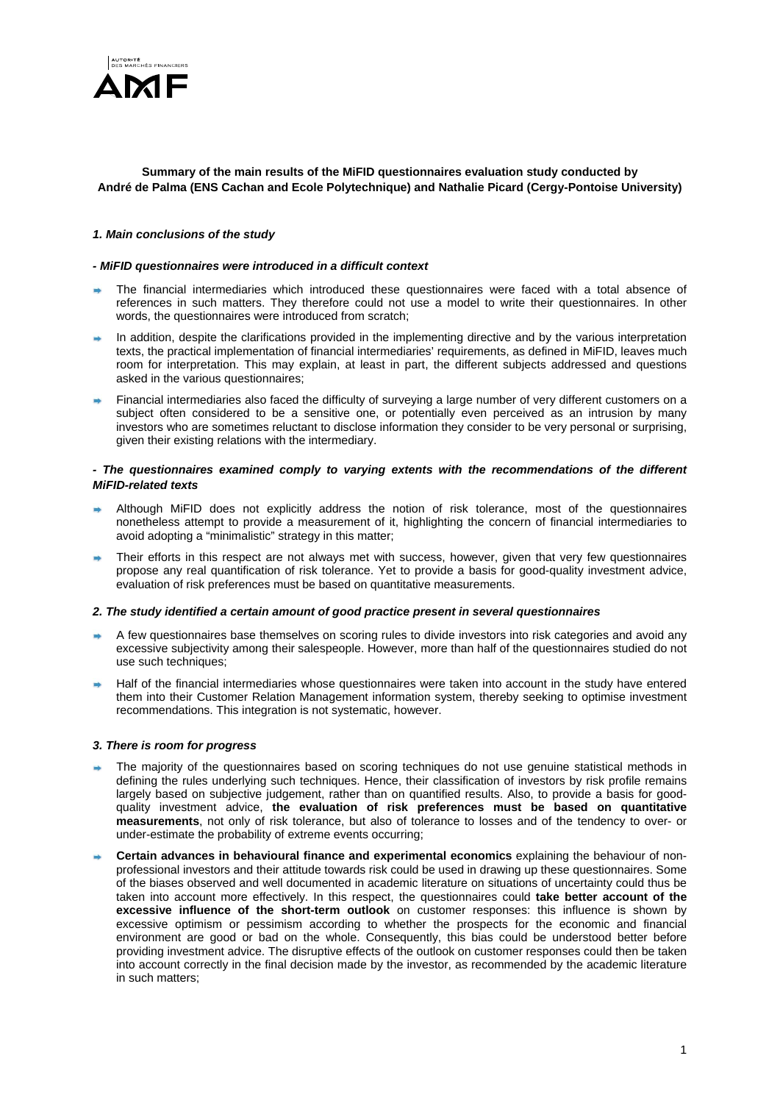

# **Summary of the main results of the MiFID questionnaires evaluation study conducted by André de Palma (ENS Cachan and Ecole Polytechnique) and Nathalie Picard (Cergy-Pontoise University)**

# *1. Main conclusions of the study*

# *- MiFID questionnaires were introduced in a difficult context*

- The financial intermediaries which introduced these questionnaires were faced with a total absence of references in such matters. They therefore could not use a model to write their questionnaires. In other words, the questionnaires were introduced from scratch;
- In addition, despite the clarifications provided in the implementing directive and by the various interpretation texts, the practical implementation of financial intermediaries' requirements, as defined in MiFID, leaves much room for interpretation. This may explain, at least in part, the different subjects addressed and questions asked in the various questionnaires;
- Financial intermediaries also faced the difficulty of surveying a large number of very different customers on a subject often considered to be a sensitive one, or potentially even perceived as an intrusion by many investors who are sometimes reluctant to disclose information they consider to be very personal or surprising, given their existing relations with the intermediary.

# *- The questionnaires examined comply to varying extents with the recommendations of the different MiFID-related texts*

- Although MiFID does not explicitly address the notion of risk tolerance, most of the questionnaires nonetheless attempt to provide a measurement of it, highlighting the concern of financial intermediaries to avoid adopting a "minimalistic" strategy in this matter;
- Their efforts in this respect are not always met with success, however, given that very few questionnaires propose any real quantification of risk tolerance. Yet to provide a basis for good-quality investment advice, evaluation of risk preferences must be based on quantitative measurements.

# *2. The study identified a certain amount of good practice present in several questionnaires*

- A few questionnaires base themselves on scoring rules to divide investors into risk categories and avoid any excessive subjectivity among their salespeople. However, more than half of the questionnaires studied do not use such techniques;
- Half of the financial intermediaries whose questionnaires were taken into account in the study have entered them into their Customer Relation Management information system, thereby seeking to optimise investment recommendations. This integration is not systematic, however.

#### *3. There is room for progress*

- The majority of the questionnaires based on scoring techniques do not use genuine statistical methods in defining the rules underlying such techniques. Hence, their classification of investors by risk profile remains largely based on subjective judgement, rather than on quantified results. Also, to provide a basis for goodquality investment advice, **the evaluation of risk preferences must be based on quantitative measurements**, not only of risk tolerance, but also of tolerance to losses and of the tendency to over- or under-estimate the probability of extreme events occurring;
- **Certain advances in behavioural finance and experimental economics** explaining the behaviour of nonprofessional investors and their attitude towards risk could be used in drawing up these questionnaires. Some of the biases observed and well documented in academic literature on situations of uncertainty could thus be taken into account more effectively. In this respect, the questionnaires could **take better account of the excessive influence of the short-term outlook** on customer responses: this influence is shown by excessive optimism or pessimism according to whether the prospects for the economic and financial environment are good or bad on the whole. Consequently, this bias could be understood better before providing investment advice. The disruptive effects of the outlook on customer responses could then be taken into account correctly in the final decision made by the investor, as recommended by the academic literature in such matters;